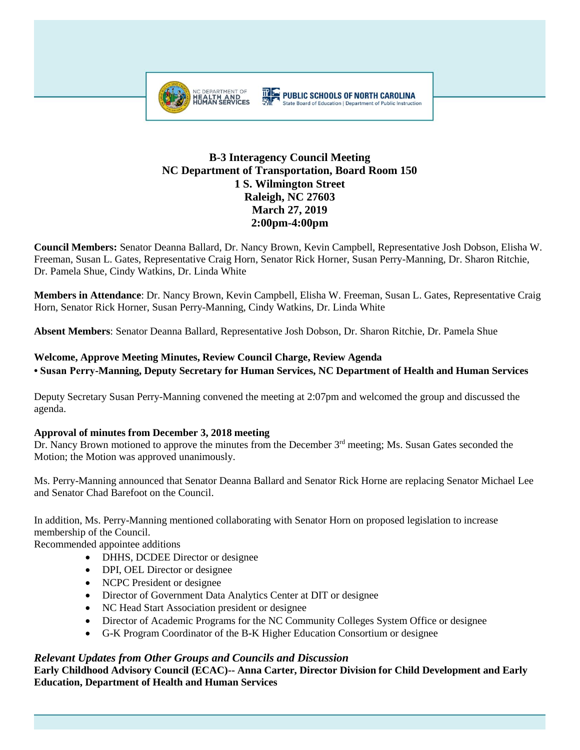

# **B-3 Interagency Council Meeting NC Department of Transportation, Board Room 150 1 S. Wilmington Street Raleigh, NC 27603 March 27, 2019 2:00pm-4:00pm**

**Council Members:** Senator Deanna Ballard, Dr. Nancy Brown, Kevin Campbell, Representative Josh Dobson, Elisha W. Freeman, Susan L. Gates, Representative Craig Horn, Senator Rick Horner, Susan Perry-Manning, Dr. Sharon Ritchie, Dr. Pamela Shue, Cindy Watkins, Dr. Linda White

**Members in Attendance**: Dr. Nancy Brown, Kevin Campbell, Elisha W. Freeman, Susan L. Gates, Representative Craig Horn, Senator Rick Horner, Susan Perry-Manning, Cindy Watkins, Dr. Linda White

**Absent Members**: Senator Deanna Ballard, Representative Josh Dobson, Dr. Sharon Ritchie, Dr. Pamela Shue

## **Welcome, Approve Meeting Minutes, Review Council Charge, Review Agenda • Susan Perry-Manning, Deputy Secretary for Human Services, NC Department of Health and Human Services**

Deputy Secretary Susan Perry-Manning convened the meeting at 2:07pm and welcomed the group and discussed the agenda.

### **Approval of minutes from December 3, 2018 meeting**

Dr. Nancy Brown motioned to approve the minutes from the December 3<sup>rd</sup> meeting; Ms. Susan Gates seconded the Motion; the Motion was approved unanimously.

Ms. Perry-Manning announced that Senator Deanna Ballard and Senator Rick Horne are replacing Senator Michael Lee and Senator Chad Barefoot on the Council.

In addition, Ms. Perry-Manning mentioned collaborating with Senator Horn on proposed legislation to increase membership of the Council.

Recommended appointee additions

- DHHS, DCDEE Director or designee
- DPI, OEL Director or designee
- NCPC President or designee
- Director of Government Data Analytics Center at DIT or designee
- NC Head Start Association president or designee
- Director of Academic Programs for the NC Community Colleges System Office or designee
- G-K Program Coordinator of the B-K Higher Education Consortium or designee

### *Relevant Updates from Other Groups and Councils and Discussion*

**Early Childhood Advisory Council (ECAC)-- Anna Carter, Director Division for Child Development and Early Education, Department of Health and Human Services**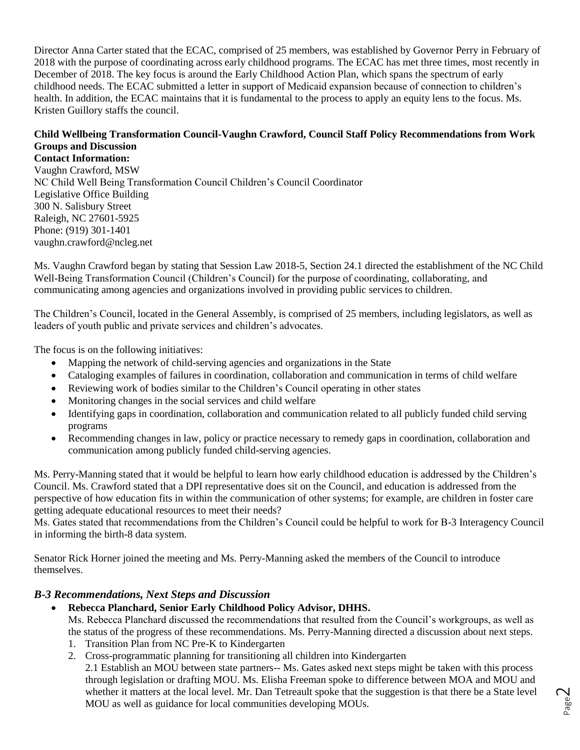Director Anna Carter stated that the ECAC, comprised of 25 members, was established by Governor Perry in February of 2018 with the purpose of coordinating across early childhood programs. The ECAC has met three times, most recently in December of 2018. The key focus is around the Early Childhood Action Plan, which spans the spectrum of early childhood needs. The ECAC submitted a letter in support of Medicaid expansion because of connection to children's health. In addition, the ECAC maintains that it is fundamental to the process to apply an equity lens to the focus. Ms. Kristen Guillory staffs the council.

### **Child Wellbeing Transformation Council-Vaughn Crawford, Council Staff Policy Recommendations from Work Groups and Discussion**

**Contact Information:** Vaughn Crawford, MSW NC Child Well Being Transformation Council Children's Council Coordinator Legislative Office Building 300 N. Salisbury Street Raleigh, NC 27601-5925 Phone: (919) 301-1401 vaughn.crawford@ncleg.net

Ms. Vaughn Crawford began by stating that Session Law 2018-5, Section 24.1 directed the establishment of the NC Child Well-Being Transformation Council (Children's Council) for the purpose of coordinating, collaborating, and communicating among agencies and organizations involved in providing public services to children.

The Children's Council, located in the General Assembly, is comprised of 25 members, including legislators, as well as leaders of youth public and private services and children's advocates.

The focus is on the following initiatives:

- Mapping the network of child-serving agencies and organizations in the State
- Cataloging examples of failures in coordination, collaboration and communication in terms of child welfare
- Reviewing work of bodies similar to the Children's Council operating in other states
- Monitoring changes in the social services and child welfare
- Identifying gaps in coordination, collaboration and communication related to all publicly funded child serving programs
- Recommending changes in law, policy or practice necessary to remedy gaps in coordination, collaboration and communication among publicly funded child-serving agencies.

Ms. Perry-Manning stated that it would be helpful to learn how early childhood education is addressed by the Children's Council. Ms. Crawford stated that a DPI representative does sit on the Council, and education is addressed from the perspective of how education fits in within the communication of other systems; for example, are children in foster care getting adequate educational resources to meet their needs?

Ms. Gates stated that recommendations from the Children's Council could be helpful to work for B-3 Interagency Council in informing the birth-8 data system.

Senator Rick Horner joined the meeting and Ms. Perry-Manning asked the members of the Council to introduce themselves.

### *B-3 Recommendations, Next Steps and Discussion*

- **Rebecca Planchard, Senior Early Childhood Policy Advisor, DHHS.**  Ms. Rebecca Planchard discussed the recommendations that resulted from the Council's workgroups, as well as the status of the progress of these recommendations. Ms. Perry-Manning directed a discussion about next steps.
	- 1. Transition Plan from NC Pre-K to Kindergarten
	- 2. Cross-programmatic planning for transitioning all children into Kindergarten

2.1 Establish an MOU between state partners-- Ms. Gates asked next steps might be taken with this process through legislation or drafting MOU. Ms. Elisha Freeman spoke to difference between MOA and MOU and whether it matters at the local level. Mr. Dan Tetreault spoke that the suggestion is that there be a State level MOU as well as guidance for local communities developing MOUs.